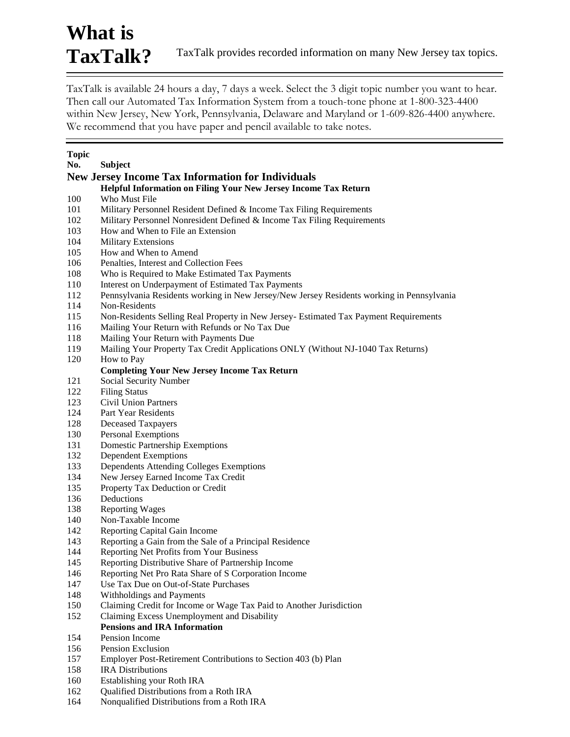# **What is**  TaxTalk? TaxTalk provides recorded information on many New Jersey tax topics.

TaxTalk is available 24 hours a day, 7 days a week. Select the 3 digit topic number you want to hear. Then call our Automated Tax Information System from a touch-tone phone at 1-800-323-4400 within New Jersey, New York, Pennsylvania, Delaware and Maryland or 1-609-826-4400 anywhere. We recommend that you have paper and pencil available to take notes.

| Topic      |                                                                                           |
|------------|-------------------------------------------------------------------------------------------|
| No.        | <b>Subject</b>                                                                            |
|            | <b>New Jersey Income Tax Information for Individuals</b>                                  |
|            | Helpful Information on Filing Your New Jersey Income Tax Return                           |
| 100        | Who Must File                                                                             |
| 101        | Military Personnel Resident Defined & Income Tax Filing Requirements                      |
| 102        | Military Personnel Nonresident Defined & Income Tax Filing Requirements                   |
| 103        | How and When to File an Extension                                                         |
| 104        | <b>Military Extensions</b>                                                                |
| 105        | How and When to Amend                                                                     |
| 106        | Penalties, Interest and Collection Fees                                                   |
| 108        | Who is Required to Make Estimated Tax Payments                                            |
| 110        | Interest on Underpayment of Estimated Tax Payments                                        |
| 112        | Pennsylvania Residents working in New Jersey/New Jersey Residents working in Pennsylvania |
| 114        | Non-Residents                                                                             |
| 115        | Non-Residents Selling Real Property in New Jersey- Estimated Tax Payment Requirements     |
| 116        | Mailing Your Return with Refunds or No Tax Due                                            |
| 118        | Mailing Your Return with Payments Due                                                     |
| 119        | Mailing Your Property Tax Credit Applications ONLY (Without NJ-1040 Tax Returns)          |
| 120        | How to Pay                                                                                |
|            | <b>Completing Your New Jersey Income Tax Return</b>                                       |
| 121        | Social Security Number                                                                    |
| 122        | <b>Filing Status</b>                                                                      |
| 123        | <b>Civil Union Partners</b>                                                               |
| 124        | Part Year Residents                                                                       |
| 128        | <b>Deceased Taxpayers</b>                                                                 |
| 130        | <b>Personal Exemptions</b>                                                                |
| 131        | <b>Domestic Partnership Exemptions</b>                                                    |
| 132        | <b>Dependent Exemptions</b>                                                               |
| 133        | Dependents Attending Colleges Exemptions                                                  |
| 134        | New Jersey Earned Income Tax Credit                                                       |
| 135        | Property Tax Deduction or Credit                                                          |
| 136<br>138 | Deductions<br><b>Reporting Wages</b>                                                      |
| 140        | Non-Taxable Income                                                                        |
| 142        | Reporting Capital Gain Income                                                             |
| 143        | Reporting a Gain from the Sale of a Principal Residence                                   |
| 144        | Reporting Net Profits from Your Business                                                  |
| 145        | Reporting Distributive Share of Partnership Income                                        |
| 146        | Reporting Net Pro Rata Share of S Corporation Income                                      |
| 147        | Use Tax Due on Out-of-State Purchases                                                     |
| 148        | Withholdings and Payments                                                                 |
| 150        | Claiming Credit for Income or Wage Tax Paid to Another Jurisdiction                       |
| 152        | Claiming Excess Unemployment and Disability                                               |
|            | <b>Pensions and IRA Information</b>                                                       |
| 154        | Pension Income                                                                            |
| 156        | Pension Exclusion                                                                         |
| 157        | Employer Post-Retirement Contributions to Section 403 (b) Plan                            |
| 158        | <b>IRA</b> Distributions                                                                  |
| 160.       | Establishing your Roth IRA                                                                |

- Establishing your Roth IRA
- 162 Qualified Distributions from a Roth IRA<br>164 Nonqualified Distributions from a Roth I
- Nonqualified Distributions from a Roth IRA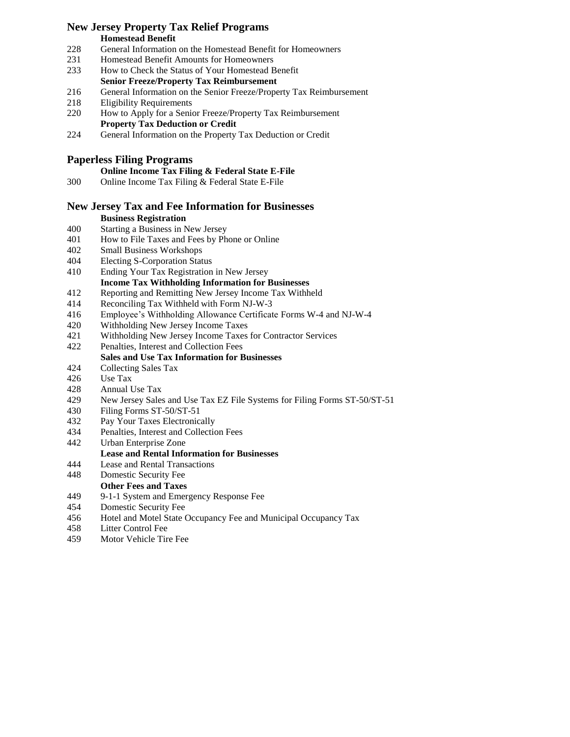### **New Jersey Property Tax Relief Programs**

### **Homestead Benefit**

- General Information on the Homestead Benefit for Homeowners
- Homestead Benefit Amounts for Homeowners
- How to Check the Status of Your Homestead Benefit **Senior Freeze/Property Tax Reimbursement**
- General Information on the Senior Freeze/Property Tax Reimbursement
- Eligibility Requirements
- How to Apply for a Senior Freeze/Property Tax Reimbursement **Property Tax Deduction or Credit**
- General Information on the Property Tax Deduction or Credit

# **Paperless Filing Programs**

# **Online Income Tax Filing & Federal State E-File**

Online Income Tax Filing & Federal State E-File

# **New Jersey Tax and Fee Information for Businesses**

# **Business Registration**

- Starting a Business in New Jersey
- How to File Taxes and Fees by Phone or Online
- Small Business Workshops
- Electing S-Corporation Status
- Ending Your Tax Registration in New Jersey
- **Income Tax Withholding Information for Businesses** Reporting and Remitting New Jersey Income Tax Withheld
- Reconciling Tax Withheld with Form NJ-W-3
- Employee's Withholding Allowance Certificate Forms W-4 and NJ-W-4
- Withholding New Jersey Income Taxes
- Withholding New Jersey Income Taxes for Contractor Services
- Penalties, Interest and Collection Fees

# **Sales and Use Tax Information for Businesses**

- Collecting Sales Tax
- Use Tax
- Annual Use Tax
- 429 New Jersey Sales and Use Tax EZ File Systems for Filing Forms ST-50/ST-51
- Filing Forms ST-50/ST-51
- Pay Your Taxes Electronically
- Penalties, Interest and Collection Fees
- Urban Enterprise Zone

## **Lease and Rental Information for Businesses**

Lease and Rental Transactions

# Domestic Security Fee

- **Other Fees and Taxes**
- 9-1-1 System and Emergency Response Fee
- Domestic Security Fee
- Hotel and Motel State Occupancy Fee and Municipal Occupancy Tax
- Litter Control Fee
- Motor Vehicle Tire Fee